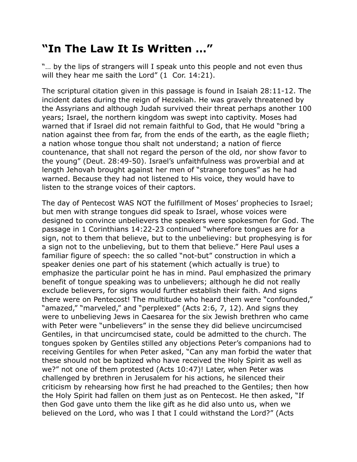## **"In The Law It Is Written …"**

"… by the lips of strangers will I speak unto this people and not even thus will they hear me saith the Lord" (1 Cor. 14:21).

The scriptural citation given in this passage is found in Isaiah 28:11-12. The incident dates during the reign of Hezekiah. He was gravely threatened by the Assyrians and although Judah survived their threat perhaps another 100 years; Israel, the northern kingdom was swept into captivity. Moses had warned that if Israel did not remain faithful to God, that He would "bring a nation against thee from far, from the ends of the earth, as the eagle flieth; a nation whose tongue thou shalt not understand; a nation of fierce countenance, that shall not regard the person of the old, nor show favor to the young" (Deut. 28:49-50). Israel's unfaithfulness was proverbial and at length Jehovah brought against her men of "strange tongues" as he had warned. Because they had not listened to His voice, they would have to listen to the strange voices of their captors.

The day of Pentecost WAS NOT the fulfillment of Moses' prophecies to Israel; but men with strange tongues did speak to Israel, whose voices were designed to convince unbelievers the speakers were spokesmen for God. The passage in 1 Corinthians 14:22-23 continued "wherefore tongues are for a sign, not to them that believe, but to the unbelieving: but prophesying is for a sign not to the unbelieving, but to them that believe." Here Paul uses a familiar figure of speech: the so called "not-but" construction in which a speaker denies one part of his statement (which actually is true) to emphasize the particular point he has in mind. Paul emphasized the primary benefit of tongue speaking was to unbelievers; although he did not really exclude believers, for signs would further establish their faith. And signs there were on Pentecost! The multitude who heard them were "confounded," "amazed," "marveled," and "perplexed" (Acts 2:6, 7, 12). And signs they were to unbelieving Jews in Caesarea for the six Jewish brethren who came with Peter were "unbelievers" in the sense they did believe uncircumcised Gentiles, in that uncircumcised state, could be admitted to the church. The tongues spoken by Gentiles stilled any objections Peter's companions had to receiving Gentiles for when Peter asked, "Can any man forbid the water that these should not be baptized who have received the Holy Spirit as well as we?" not one of them protested (Acts 10:47)! Later, when Peter was challenged by brethren in Jerusalem for his actions, he silenced their criticism by rehearsing how first he had preached to the Gentiles; then how the Holy Spirit had fallen on them just as on Pentecost. He then asked, "If then God gave unto them the like gift as he did also unto us, when we believed on the Lord, who was I that I could withstand the Lord?" (Acts